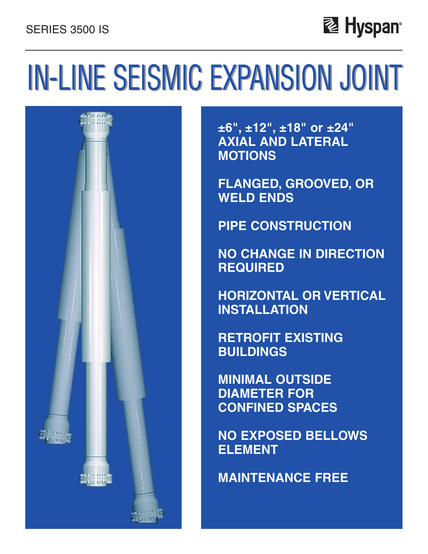# SERIES 3500 IS



# IN-LINE SEISMIC EXPANSION JOINT



**±6", ±12", ±18" or ±24" AXIAL AND LATERAL MOTIONS**

**FLANGED, GROOVED, OR WELD ENDS**

**PIPE CONSTRUCTION**

**NO CHANGE IN DIRECTION REQUIRED**

**HORIZONTAL OR VERTICAL INSTALLATION**

**RETROFIT EXISTING BUILDINGS**

**MINIMAL OUTSIDE DIAMETER FOR CONFINED SPACES**

**NO EXPOSED BELLOWS ELEMENT**

**MAINTENANCE FREE**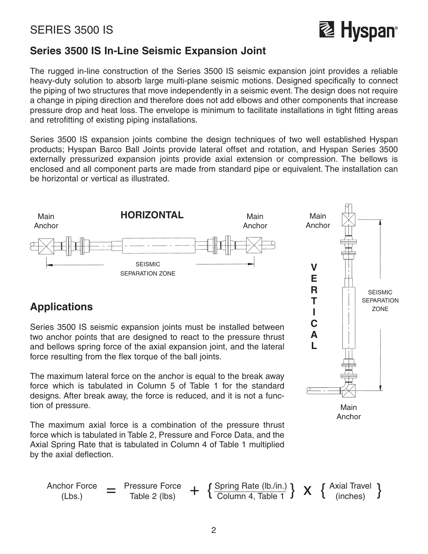

## **Series 3500 IS In-Line Seismic Expansion Joint**

The rugged in-line construction of the Series 3500 IS seismic expansion joint provides a reliable heavy-duty solution to absorb large multi-plane seismic motions. Designed specifically to connect the piping of two structures that move independently in a seismic event. The design does not require a change in piping direction and therefore does not add elbows and other components that increase pressure drop and heat loss. The envelope is minimum to facilitate installations in tight fitting areas and retrofitting of existing piping installations.

Series 3500 IS expansion joints combine the design techniques of two well established Hyspan products; Hyspan Barco Ball Joints provide lateral offset and rotation, and Hyspan Series 3500 externally pressurized expansion joints provide axial extension or compression. The bellows is enclosed and all component parts are made from standard pipe or equivalent. The installation can be horizontal or vertical as illustrated.



# **Applications**

Series 3500 IS seismic expansion joints must be installed between two anchor points that are designed to react to the pressure thrust and bellows spring force of the axial expansion joint, and the lateral force resulting from the flex torque of the ball joints.

The maximum lateral force on the anchor is equal to the break away force which is tabulated in Column 5 of Table 1 for the standard designs. After break away, the force is reduced, and it is not a function of pressure.

The maximum axial force is a combination of the pressure thrust force which is tabulated in Table 2, Pressure and Force Data, and the Axial Spring Rate that is tabulated in Column 4 of Table 1 multiplied by the axial deflection.



Anchor

$$
\begin{array}{cccc}\n\text{Another Force} & = & \text{Pressure Force} \\
\text{(Lbs.)} & = & \text{Table 2 (lbs)} \\
\end{array} + \left\{ \frac{\text{Spring Rate (lb./in.)}}{\text{Column 4, Table 1}} \right\} \times \left\{ \frac{\text{Axial Travel}}{\text{(inches)}} \right\}
$$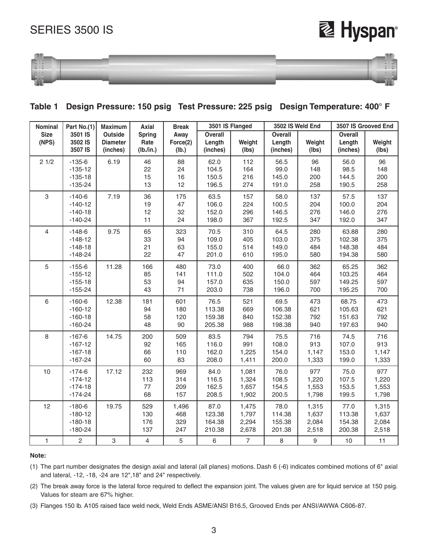## SERIES 3500 IS

# **Lage Hyspan**®



#### **Table 1 Design Pressure: 150 psig Test Pressure: 225 psig Design Temperature: 400° F**

| Nominal              | Part No.(1)                                       | <b>Maximum</b>                                | 3501 IS Flanged<br>3502 IS Weld End<br><b>Axial</b><br><b>Break</b> |                            |                                    | 3507 IS Grooved End              |                                      |                                  |                                      |                                  |
|----------------------|---------------------------------------------------|-----------------------------------------------|---------------------------------------------------------------------|----------------------------|------------------------------------|----------------------------------|--------------------------------------|----------------------------------|--------------------------------------|----------------------------------|
| <b>Size</b><br>(NPS) | 3501 IS<br>3502 IS<br>3507 IS                     | <b>Outside</b><br><b>Diameter</b><br>(inches) | <b>Spring</b><br>Rate<br>(lb./in.)                                  | Away<br>Force(2)<br>(Ib.)  | Overall<br>Length<br>(inches)      | Weight<br>(Ibs)                  | <b>Overall</b><br>Length<br>(inches) | Weight<br>(lbs)                  | <b>Overall</b><br>Length<br>(inches) | Weight<br>(lbs)                  |
| 21/2                 | $-135-6$<br>$-135-12$<br>$-135-18$<br>$-135-24$   | 6.19                                          | 46<br>22<br>15<br>13                                                | 88<br>24<br>16<br>12       | 62.0<br>104.5<br>150.5<br>196.5    | 112<br>164<br>216<br>274         | 56.5<br>99.0<br>145.0<br>191.0       | 96<br>148<br>200<br>258          | 56.0<br>98.5<br>144.5<br>190.5       | 96<br>148<br>200<br>258          |
| 3                    | $-140-6$<br>$-140-12$<br>$-140-18$<br>$-140-24$   | 7.19                                          | 36<br>19<br>12<br>11                                                | 175<br>47<br>32<br>24      | 63.5<br>106.0<br>152.0<br>198.0    | 157<br>224<br>296<br>367         | 58.0<br>100.5<br>146.5<br>192.5      | 137<br>204<br>276<br>347         | 57.5<br>100.0<br>146.0<br>192.0      | 137<br>204<br>276<br>347         |
| $\overline{4}$       | $-148-6$<br>$-148-12$<br>$-148-18$<br>$-148-24$   | 9.75                                          | 65<br>33<br>21<br>22                                                | 323<br>94<br>63<br>47      | 70.5<br>109.0<br>155.0<br>201.0    | 310<br>405<br>514<br>610         | 64.5<br>103.0<br>149.0<br>195.0      | 280<br>375<br>484<br>580         | 63.88<br>102.38<br>148.38<br>194.38  | 280<br>375<br>484<br>580         |
| 5                    | $-155-6$<br>$-155-12$<br>$-155-18$<br>$-155 - 24$ | 11.28                                         | 166<br>85<br>53<br>43                                               | 480<br>141<br>94<br>71     | 73.0<br>111.0<br>157.0<br>203.0    | 400<br>502<br>635<br>738         | 66.0<br>104.0<br>150.0<br>196.0      | 362<br>464<br>597<br>700         | 65.25<br>103.25<br>149.25<br>195.25  | 362<br>464<br>597<br>700         |
| 6                    | $-160-6$<br>$-160-12$<br>$-160-18$<br>$-160-24$   | 12.38                                         | 181<br>94<br>58<br>48                                               | 601<br>180<br>120<br>90    | 76.5<br>113.38<br>159.38<br>205.38 | 521<br>669<br>840<br>988         | 69.5<br>106.38<br>152.38<br>198.38   | 473<br>621<br>792<br>940         | 68.75<br>105.63<br>151.63<br>197.63  | 473<br>621<br>792<br>940         |
| 8                    | $-167-6$<br>$-167-12$<br>$-167-18$<br>$-167-24$   | 14.75                                         | 200<br>92<br>66<br>60                                               | 509<br>165<br>110<br>83    | 83.5<br>116.0<br>162.0<br>208.0    | 794<br>991<br>1,225<br>1,411     | 75.5<br>108.0<br>154.0<br>200.0      | 716<br>913<br>1,147<br>1,333     | 74.5<br>107.0<br>153.0<br>199.0      | 716<br>913<br>1,147<br>1,333     |
| 10                   | $-174-6$<br>$-174-12$<br>$-174-18$<br>$-174-24$   | 17.12                                         | 232<br>113<br>77<br>68                                              | 969<br>314<br>209<br>157   | 84.0<br>116.5<br>162.5<br>208.5    | 1,081<br>1,324<br>1,657<br>1,902 | 76.0<br>108.5<br>154.5<br>200.5      | 977<br>1,220<br>1,553<br>1,798   | 75.0<br>107.5<br>153.5<br>199.5      | 977<br>1,220<br>1,553<br>1,798   |
| 12                   | $-180-6$<br>$-180-12$<br>$-180-18$<br>$-180-24$   | 19.75                                         | 529<br>130<br>176<br>137                                            | 1,496<br>468<br>329<br>247 | 87.0<br>123.38<br>164.38<br>210.38 | 1,475<br>1,797<br>2,294<br>2,678 | 78.0<br>114.38<br>155.38<br>201.38   | 1,315<br>1,637<br>2,084<br>2,518 | 77.0<br>113.38<br>154.38<br>200.38   | 1,315<br>1,637<br>2,084<br>2,518 |
| $\mathbf{1}$         | $\overline{c}$                                    | 3                                             | 4                                                                   | 5                          | 6                                  | $\overline{7}$                   | 8                                    | 9                                | 10                                   | 11                               |

#### **Note:**

(1) The part number designates the design axial and lateral (all planes) motions. Dash 6 (-6) indicates combined motions of 6" axial and lateral, -12, -18, -24 are 12",18" and 24" respectively.

(2) The break away force is the lateral force required to deflect the expansion joint. The values given are for liquid service at 150 psig. Values for steam are 67% higher.

(3) Flanges 150 lb. A105 raised face weld neck, Weld Ends ASME/ANSI B16.5, Grooved Ends per ANSI/AWWA C606-87.